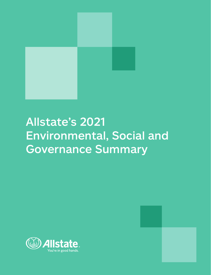

# Allstate's 2021 Environmental, Social and Governance Summary



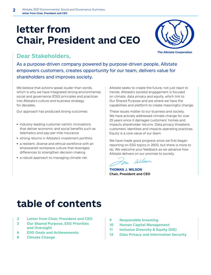# **letter from Chair, President and CEO**



## **Dear Stakeholders,**

As a purpose-driven company powered by purpose-driven people, Allstate empowers customers, creates opportunity for our team, delivers value for shareholders and improves society.

We believe that actions speak louder than words, which is why we have integrated strong environmental, social and governance (ESG) principles and practices into Allstate's culture and business strategy for decades.

Our approach has produced strong outcomes:

- **•** industry-leading customer-centric innovations that deliver economic and social benefits such as telematics and pay-per-mile insurance
- **•** strong returns in Allstate's investment portfolio
- **•** a resilient, diverse and ethical workforce with an empowered workplace culture that leverages differences to strengthen decision-making
- **•** a robust approach to managing climate risk

Allstate seeks to create the future, not just react to trends. Allstate's societal engagement is focused on climate, data privacy and equity, which link to Our Shared Purpose and are where we have the capabilities and platform to create meaningful change.

These issues matter to our business and society. We have actively addressed climate change for over 25 years since it damages customers' homes and impacts shareholder returns. Data privacy threatens customers' identities and impacts operating practices. Equity is a core value of our team.

We have made good progress since we first began reporting on ESG topics in 2003, but there is more to do. We welcome your feedback as we advance how Allstate delivers on our promise to society.

 $11/202$ 

**THOMAS J. WILSON Chair, President and CEO**

# **table of contents**

- **2 Letter from Chair, President and CEO**
- **3 Our Shared Purpose, ESG Priorities and Oversight**
- **6 ESG Goals and Achievements**
- **8 Climate Change**
- **9 Responsible Investing**
- **10 Human Capital Management**
- **11 Inclusive Diversity & Equity (IDE)**
- **12 Data Privacy and Information Security**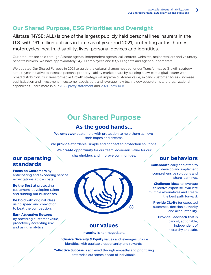## **Our Shared Purpose, ESG Priorities and Oversight**

Allstate (NYSE: ALL) is one of the largest publicly held personal lines insurers in the U.S. with 191 million policies in force as of year-end 2021, protecting autos, homes, motorcycles, health, disability, lives, personal devices and identities.

Our products are sold through Allstate agents, independent agents, call centers, websites, major retailers and voluntary benefits brokers. We have approximately 54,700 employees and 83,600 agents and agent support staff.

We updated Our Shared Purpose in 2021 to guide the cultural change needed for our Transformative Growth strategy, a multi-year initiative to increase personal property-liability market share by building a low-cost digital insurer with broad distribution. Our Transformative Growth strategy will improve customer value, expand customer access, increase sophistication and investment in customer acquisition, and leverage new technology ecosystems and organizational capabilities. Learn more in our 2022 proxy statement and 2021 Form 10-K.

## **Our Shared Purpose**

## **As the good hands...**

We **empower** customers with protection to help them achieve their hopes and dreams.

We **provide** affordable, simple and connected protection solutions.

We **create** opportunity for our team, economic value for our shareholders and improve communities.<br> **our behaviors** 

## **our operating standards**

**Focus on Customers** by anticipating and exceeding service expectations at low costs.

**Be the Best** at protecting customers, developing talent and running our businesses.

**Be Bold** with original ideas using speed and conviction to beat the competition.

**Earn Attractive Returns** by providing customer value, proactively accepting risk and using analytics.



## **our values**

**Integrity** is non-negotiable.

**Inclusive Diversity & Equity** values and leverages unique identities with equitable opportunity and rewards.

**Collective Success** is achieved through empathy and prioritizing enterprise outcomes ahead of individuals.

**Collaborate** early and often to develop and implement comprehensive solutions and share learnings.

**Challenge Ideas** to leverage collective expertise, evaluate multiple alternatives and create the best path forward.

**Provide Clarity** for expected outcomes, decision authority and accountability.

> **Provide Feedback** that is candid, actionable, independent of hierarchy and safe.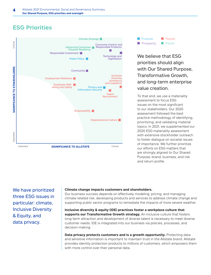## **ESG Priorities**





We believe that ESG priorities should align with Our Shared Purpose, Transformative Growth, and long-term enterprise value creation.

To that end, we use a materiality assessment to focus ESG issues on the most significant to our stakeholders. Our 2020 assessment followed the best practice methodology of identifying, prioritizing, and validating material topics. In 2021, we supplemented our 2020 ESG materiality assessment with extensive stockholder outreach to foster dialogue on societal issues of importance. We further prioritize our efforts on ESG matters that are strongly aligned to Our Shared Purpose, brand, business, and risk and return profile.

We have prioritized three ESG issues in particular: climate, Inclusive Diversity & Equity, and data privacy.

### **Climate change impacts customers and shareholders.**

Our business success depends on effectively modeling, pricing, and managing climate-related risk, developing products and services to address climate change and supporting public sector programs to remediate the impacts of more severe weather.

**Inclusive diversity & equity (IDE) practices foster a workplace culture that supports our Transformative Growth strategy.** An inclusive culture that fosters long-term attraction and development of diverse talent is necessary to meet diverse customer needs. IDE is integrated into our business via policies, processes, and decision-making.

**Data privacy protects customers and is a growth opportunity.** Protecting data and sensitive information is important to maintain trust in the Allstate brand. Allstate provides identity protection products to millions of customers, which empowers them with more control over their personal data.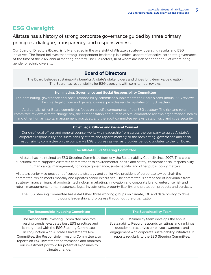## **ESG Oversight**

## Allstate has a history of strong corporate governance guided by three primary principles: dialogue, transparency, and responsiveness.

Our Board of Directors (Board) is fully engaged in the oversight of Allstate's strategy, operating results and ESG initiatives. The Board believes that strong, independent leadership is a critical aspect of effective corporate governance. At the time of the 2022 annual meeting, there will be 11 directors, 10 of whom are independent and 6 of whom bring gender or ethnic diversity.

## **Board of Directors**

The Board believes sustainability benefits Allstate's stakeholders and drives long-term value creation. The Board has responsibility for ESG oversight with semi-annual reviews.

### **Nominating, Governance and Social Responsibility Committee**

The nominating, governance and social responsibility committee supplements the Board's semi-annual ESG reviews. The chief legal officer and general counsel provides regular updates on ESG matters.

Additionally, other Board committees focus on specific components of the ESG strategy. The risk and return committee reviews climate change risk, the compensation and human capital committee reviews organizational health and other human capital management practices, and the audit committee reviews data privacy and cybersecurity.

### **Chief Legal Officer and General Counsel**

Our chief legal officer and general counsel works with leadership from across the company to guide Allstate's corporate responsibility and sustainability efforts and reports monthly to the nominating, governance and social responsibility committee on the company's ESG progress as well as provides periodic updates to the full Board.

## **The Allstate ESG Steering Committee**

Allstate has maintained an ESG Steering Committee (formerly the Sustainability Council) since 2007. This crossfunctional team supports Allstate's commitment to environmental, health and safety, corporate social responsibility, human capital management, corporate governance, sustainability, and other public policy matters.

Allstate's senior vice president of corporate strategy and senior vice president of corporate law co-chair the committee, which meets monthly and updates senior executives. The committee is comprised of individuals from strategy, finance, financial products, technology, marketing, innovation and corporate brand, enterprise risk and return management, human resources, legal, investments, property-liability, and protection products and services.

The ESG Steering Committee has established three working groups on climate, IDE and data privacy to drive thought leadership and progress throughout the organization.

| The Responsible Investing Committee                                                                                                                                                                                                                                                                                                                                                            | <b>The Sustainability Team</b>                                                                                                                                                                                                                                          |
|------------------------------------------------------------------------------------------------------------------------------------------------------------------------------------------------------------------------------------------------------------------------------------------------------------------------------------------------------------------------------------------------|-------------------------------------------------------------------------------------------------------------------------------------------------------------------------------------------------------------------------------------------------------------------------|
| The Responsible Investing Committee monitors<br>investing trends, evaluates best ESG practices and<br>is integrated with the ESG Steering Committee.<br>In conjunction with Allstate's Investments Risk<br>Committee, the Responsible Investing Committee also<br>reports on ESG investment performance and monitors<br>our investment portfolio for potential exposures to<br>climate change. | The Sustainability team develops the annual<br>Sustainability Report, responds to ratings and rankings<br>questionnaires, drives employee awareness and<br>engagement with corporate sustainability initiatives. It<br>reports regularly to the ESG Steering Committee. |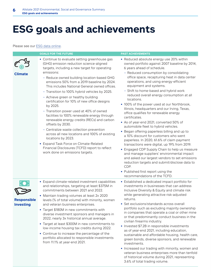# **ESG goals and achievements**

### Please see our ESG data online.

|                                        | <b>GOALS FOR THE FUTURE</b>                                                                                                                                                                                                                                                                                                                                                                                                                                                                                                                                                                                                                                                                                                                                                                                                                                             | <b>PAST ACHIEVEMENTS</b>                                                                                                                                                                                                                                                                                                                                                                                                                                                                                                                                                                                                                                                                                                                                                                                                                                                                                                                                                                                                                                                                                        |
|----------------------------------------|-------------------------------------------------------------------------------------------------------------------------------------------------------------------------------------------------------------------------------------------------------------------------------------------------------------------------------------------------------------------------------------------------------------------------------------------------------------------------------------------------------------------------------------------------------------------------------------------------------------------------------------------------------------------------------------------------------------------------------------------------------------------------------------------------------------------------------------------------------------------------|-----------------------------------------------------------------------------------------------------------------------------------------------------------------------------------------------------------------------------------------------------------------------------------------------------------------------------------------------------------------------------------------------------------------------------------------------------------------------------------------------------------------------------------------------------------------------------------------------------------------------------------------------------------------------------------------------------------------------------------------------------------------------------------------------------------------------------------------------------------------------------------------------------------------------------------------------------------------------------------------------------------------------------------------------------------------------------------------------------------------|
| <b>Climate</b>                         | • Continue to evaluate setting greenhouse gas<br>(GHG) emission reduction science-aligned<br>targets, including a new target for operating<br>emissions:<br>- Reduce owned building location-based GHG<br>emissions 50% from a 2019 baseline by 2024.<br>This includes National General owned offices.<br>- Transition to 100% hybrid vehicles by 2025.<br>- Achieve green or healthy building<br>certification for 10% of new office designs<br>by 2025.<br>- Transition power used at 40% of owned<br>facilities to 100% renewable energy through<br>renewable energy credits (RECs) and carbon<br>offsets by 2030.<br>- Centralize waste collection prevention<br>across all new locations and 100% of existing<br>locations by 2023.<br>• Expand Task Force on Climate-Related<br>Financial Disclosures (TCFD) report to reflect<br>work done on emissions targets. | • Reduced absolute energy use 20% within<br>owned portfolio against 2007 baseline by 2014,<br>6 years ahead of schedule.<br>- Reduced consumption by consolidating<br>office space, recapturing heat in data center<br>operations, and using energy-efficient<br>equipment and systems.<br>- Shift to home-based and hybrid work<br>reduced overall energy consumption at all<br>locations.<br>• 100% of the power used at our Northbrook,<br>Illinois, headquarters and our Irving, Texas,<br>office qualifies for renewable energy<br>certificates.<br>• As of year-end 2021, converted 50% of<br>automobile fleet to hybrid vehicles.<br>• Began offering paperless billing and up to<br>a 10% discount for customers who went<br>paperless. In 2020, 61.6% of claim payment<br>transactions were digital, up 19% from 2019.<br>• Engaged CDP Supply Chain to help us measure<br>and manage suppliers' environmental impact<br>and asked our largest vendors to set emissions<br>reduction targets and submit/disclose data to<br>CDP.<br>• Published first report using the<br>recommendations of the TCFD. |
| <b>Responsible</b><br><b>Investing</b> | • Expand climate-related investment capabilities<br>and relationships, targeting at least \$375M in<br>commitments between 2021 and 2022.<br>• Maintain trading volumes at least 2x 2020<br>levels (% of total volume) with minority, women<br>and veteran business enterprises.<br>• Target \$180M in new commitments with<br>diverse investment sponsors and managers in<br>2022, nearly 3x historical annual average.<br>• Target at least \$300M in new commitments to<br>low-income housing tax credits during 2022.<br>• Continue to increase the percentage of the<br>portfolio allocated to responsible investments<br>from 11.1% at year-end 2021.                                                                                                                                                                                                             | • Established a dedicated impact portfolio for<br>investments in businesses that can address<br>Inclusive Diversity & Equity and climate risk<br>while generating attractive risk-adjusted<br>returns.<br>• Set exclusions/standards across overall<br>portfolio such as excluding majority ownership<br>in companies that operate a coal or other mine<br>or that predominantly conduct business in the<br>civilian firearms industry.<br>• Invested \$7.2B in responsible investments<br>as of year-end 2021, including education,<br>sustainable and affordable housing, health care,<br>green bonds, diverse sponsors, and renewable<br>investments.<br>• Increased our trading with minority, women and<br>veteran business enterprises more than tenfold                                                                                                                                                                                                                                                                                                                                                  |

of historical volume during 2021, representing 3.6% of total trading volume.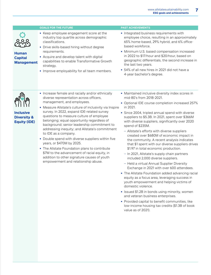|                                                     | <b>GOALS FOR THE FUTURE</b>                                                                                                                                                                                                        | <b>PAST ACHIEVEMENTS</b>                                                                                                                                                                                                                             |
|-----------------------------------------------------|------------------------------------------------------------------------------------------------------------------------------------------------------------------------------------------------------------------------------------|------------------------------------------------------------------------------------------------------------------------------------------------------------------------------------------------------------------------------------------------------|
|                                                     | • Keep employee engagement score at the<br>industry top quartile across demographic<br>classifications.<br>• Drive skills-based hiring without degree                                                                              | • Integrated business requirements with<br>employee choice, resulting in an approximately<br>65% home-based, 29% hybrid, and 6% office-<br>based workforce.                                                                                          |
| <b>Human</b><br><b>Capital</b><br><b>Management</b> | requirements.<br>• Acquire and develop talent with digital<br>capabilities to enable Transformative Growth<br>strategy.<br>• Improve employability for all team members.                                                           | • Minimum U.S. based compensation increased<br>in 2022 to \$17/hour and \$20/hour, based on<br>geographic differentials, the second increase in<br>the last two years.<br>• 54% of all new hires in 2021 did not have a<br>4-year bachelor's degree. |
| <b>Inclusive</b>                                    | • Increase female and racially and/or ethnically<br>diverse representation across officers,<br>management, and employees.<br>• Measure Allstate's culture of inclusivity via Inspire<br>survey. In 2022, expand IDE-related survey | • Maintained inclusive diversity index scores in<br>mid-80's from 2018-2021.<br>• Optional IDE course completion increased 257%<br>in 2021.<br>$\bullet$ Since 2004, tripled annual spend with diverse                                               |

questions to measure culture of employee belonging; equal opportunity regardless of background; senior leadership commitment to addressing inequity; and Allstate's commitment

**•** Double spend with diverse suppliers within five

**•** The Allstate Foundation plans to contribute \$7M to the advancement of racial equity, in addition to other signature causes of youth empowerment and relationship abuse.

to IDE as a company.

years, or \$470M by 2025.

**•** Since 2004, tripled annual spend with diverse suppliers to \$5.3B. In 2021, spent over \$366M with diverse suppliers, significantly over 2020 spend of \$235M.

- Allstate's efforts with diverse suppliers created over \$680M of economic impact in the community. A recent analysis indicates that \$1 spent with our diverse suppliers drives \$1.97 in total economic production.
- In 2021, Allstate's supply chain partners included 2,000 diverse suppliers.
- Held a virtual Annual Supplier Diversity Exchange in 2021 with over 600 attendees.
- **•** The Allstate Foundation added advancing racial equity as a focus area, leveraging success in youth empowerment and helping victims of domestic violence.
- **•** Issued \$1.2B in bonds using minority, women and veteran business enterprises.
- **•** Provided capital to benefit communities, like low-income housing tax credits (\$1.3B of book value as of 2021).

**Inclusive Diversity & Equity (IDE)**

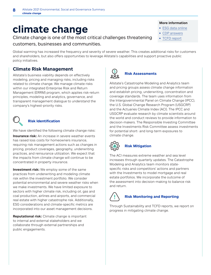# **climate change**

Climate change is one of the most critical challenges threatening

customers, businesses and communities.

Global warming has increased the frequency and severity of severe weather. This creates additional risks for customers and shareholders, but also offers opportunities to leverage Allstate's capabilities and support proactive public policy initiatives.

## **Climate Risk Management**

Allstate's business viability depends on effectively modeling, pricing and managing risks, including risks related to climate change. We manage climate risks within our integrated Enterprise Risk and Return Management (ERRM) program, which applies risk-return principles, modeling and analytics, governance, and transparent management dialogue to understand the company's highest-priority risks.



## **Risk Identification**

We have identified the following climate change risks:

**Insurance risk:** An increase in severe weather events has raised loss costs for homeowners insurance, requiring risk management actions such as changes in pricing, product coverages, geography, underwriting practices, and reinsurance utilization. We expect that the impacts from climate change will continue to be concentrated in property insurance.

**Investment risk:** We employ some of the same practices from underwriting and modeling climate risk within the investment portfolio. We consider potential environmental and severe weather risks when we make investments. We have limited exposure to sectors with higher climate risk, including oil, gas and coal production, airlines and airports, and commercial real estate with higher catastrophe risk. Additionally, ESG considerations and climate-specific metrics are incorporated into our asset management decisions.

**Reputational risk:** Climate change is important to internal and external stakeholders and we collaborate through external partnerships and public engagements.

## **Risk Assessments**

Allstate's Catastrophe Modeling and Analytics team and pricing groups assess climate change information and establish pricing, underwriting, concentration and coverage standards. The team uses information from the Intergovernmental Panel on Climate Change (IPCC), the U.S. Global Change Research Program (USGCRP) and the Actuaries Climate Index (ACI). The IPCC and USGCRP evaluate research by climate scientists around the world and conduct reviews to provide information to decision-makers. The Responsible Investing Committee and the Investments Risk Committee assess investments for potential short- and long-term exposures to climate change.



## **Risk Mitigation**

The ACI measures extreme weather and sea level increases through quarterly updates. The Catastrophe Modeling and Analytics team monitors statespecific risks and competitors' actions and partners with the Investments to model mortgage and real estate portfolios. We incorporate the outcome of the assessment into decision-making to balance risk and return.



## **Risk Monitoring and Reporting**

Through Sustainability and TCFD reports, we report on progress in mitigating climate change.

### **More information**

- **•** ESG data online
- **•** CDP answers
- **•** TCFD report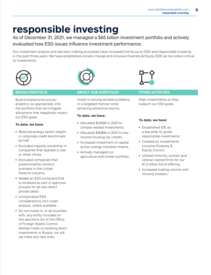# **responsible investing**

## As of December 31, 2021, we managed a \$65 billion investment portfolio and actively

evaluated how ESG issues influence investment performance.

Our investment analysis and decision-making processes have increased the focus on ESG and responsible investing in the past three years. We have established climate change and Inclusive Diversity & Equity (IDE) as two pillars critical to investments.





Build limitations/structure/ analytics, as appropriate, into the portfolio that will mitigate allocations that negatively impact our ESG goals.

### **To date, we have:**

- **•** Reduced energy sector weight in corporate credit benchmark by half.
- **•** Excluded majority ownership in companies that operate a coal or other mines.
- **•** Excluded companies that predominantly conduct business in the civilian firearms industry.
- **•** Added an ESG scorecard that is reviewed as part of approval process for all new direct private deals.
- **•** Incorporated ESG considerations into credit analysis, where available.
- **•** Do not invest in, or do business with, any entity included on the sanctions list of the Office of Foreign Assets Control. Allstate holds no existing direct investments in Russia, nor will we make any new ones.

## **BROAD PORTFOLIO IMPACT SUB-PORTFOLIO OTHER ACTIVITIES**

Invest in solving societal problems in a targeted manner while achieving attractive returns.

### **To date, we have:**

- **•** Allocated \$240M in 2021 to climate-related investments.
- **•** Allocated \$408M in 2021 to lowincome housing tax credits.
- **•** Increased investment of capital across energy transition theme.
- **•** Actively managed our agriculture and timber portfolio.



Align investments so they support our ESG goals.

### **To date, we have:**

- **•** Established IDE as a key pillar to guide responsible investments.
- **•** Created an Investments Inclusive Diversity & Equity Council.
- **•** Utilized minority, women and veteran owned firms for our \$1.2 billion bond offering.
- **•** Increased trading volume with minority brokers.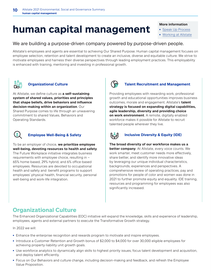# **human capital management**

### **More information**

- **•** Speak Up Process
- **•** Working at Allstate

## We are building a purpose-driven company powered by purpose-driven people.

Allstate's employees and agents are essential to achieving Our Shared Purpose. Human capital management focuses on employee selection, retention and talent development to create an inclusive, diverse and equitable culture. We strive to motivate employees and harness their diverse perspectives through leading employment practices. This employability is enhanced with training, mentoring and investing in professional growth.



## **Organizational Culture**

At Allstate, we define culture as **a self-sustaining system of shared values, priorities and principles that shape beliefs, drive behaviors and influence decision-making within an organization**. Our Shared Purpose comes to life through an unwavering commitment to shared Values, Behaviors and Operating Standards.



## **Employee Well-Being & Safety**

To be an employer of choice, **we prioritize employee well-being, devoting resources to health and safety**. The Future Workplace initiative integrates business requirements with employee choice, resulting in  $\sim$ 65% home-based, 29% hybrid, and 6% office-based employees. Resources are devoted to occupational health and safety and benefit programs to support employees' physical health, financial security, personal well-being and work-life integration.



## **Talent Recruitment and Management**

Providing employees with rewarding work, professional growth and educational opportunities improves business outcomes, morale and engagement. Allstate's **talent strategy is focused on expanding digital capabilities, agile leadership, diversity and providing choice on work environment**. A remote, digitally enabled workforce makes it possible for Allstate to recruit talented people wherever they live.



## **Inclusive Diversity & Equity (IDE)**

**The broad diversity of our workforce makes us a better company**. At Allstate, every voice counts. We work smarter, meet customer needs more effectively, share better, and identify more innovative ideas by leveraging our unique individual characteristics, backgrounds, experiences and perspectives. A comprehensive review of operating practices, pay and promotions for people of color and women was done in 2021 to further promote equity and equality. IDE training, resources and programming for employees was also significantly increased.

## **Organizational Culture**

The Enhanced Organizational Capabilities (EOC) initiative will expand the knowledge, skills and experience of leadership, employees, agents and external partners to execute the Transformative Growth strategy.

In 2022 we will:

- Enhance the enterprise recognition and rewards program to motivate and inspire employees.
- **•** Introduce a Customer Retention and Growth bonus of \$2,000 to \$4,000 for over 30,000 eligible employees for achieving property-liability unit growth goals.
- **•** Use workforce analytics to dynamically align skills to highest priority issues, focus talent development and acquisition, and deploy talent efficiently.
- **•** Focus on Our Behaviors and culture change, including decision-making and feedback, and refresh the Employee Value Proposition.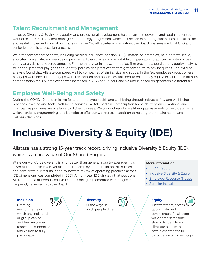## **Talent Recruitment and Management**

Inclusive Diversity & Equity, pay equity, and professional development help us attract, develop, and retain a talented workforce. In 2021, the talent management strategy progressed, which focuses on expanding capabilities critical to the successful implementation of our Transformative Growth strategy. In addition, the Board oversees a robust CEO and senior leadership succession process.

We offer competitive benefits, including medical insurance, pension, 401(k) match, paid time off, paid parental leave, short-term disability, and well-being programs. To ensure fair and equitable compensation practices, an internal pay equity analysis is conducted annually. For the third year in a row, an outside firm provided a detailed pay equity analysis to identify potential pay gaps and identify policies and practices that might contribute to pay inequities. The external analysis found that Allstate compared well to companies of similar size and scope. In the few employee groups where pay gaps were identified, the gaps were remediated and policies established to ensure pay equity. In addition, minimum compensation for U.S. employees was increased in 2022 to \$17/hour and \$20/hour, based on geographic differentials.

## **Employee Well-Being and Safety**

During the COVID-19 pandemic, we fostered employee health and well-being through robust safety and well-being practices, training and tools. Well-being services like telemedicine, prescription home delivery, and emotional and financial support lines are available to U.S. employees. We conduct regular well-being assessments to help determine which services, programming, and benefits to offer our workforce, in addition to helping them make health and wellness decisions.

# **Inclusive Diversity & Equity (IDE)**

Allstate has a strong 15-year track record driving Inclusive Diversity & Equity (IDE), which is a core value of Our Shared Purpose.

While our workforce diversity is at or better than general industry averages, it is lower at leadership levels versus front-line employees. To build on this success and accelerate our results, a top-to-bottom review of operating practices across IDE dimensions was completed in 2021. A multi-year IDE strategy that positions Allstate to be a differentiated IDE leader is being implemented with progress frequently reviewed with the Board.



## **More information**

- **•** EEO-1 Report
- **•** Inclusive Diversity & Equity
- **•** Employee Resource Groups
- **•** Supplier Inclusion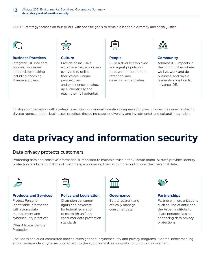Our IDE strategy focuses on four pillars, with specific goals to remain a leader in diversity and social justice.



### **Business Practices**

Integrate IDE into core policies, processes, and decision-making, including choosing diverse suppliers.



### **Culture**

Provide an inclusive workplace that empowers everyone to utilize their voices, unique perspectives and experiences to show up authentically and reach their full potential.



### **People**

Build a diverse employee and agent population through our recruitment, retention, and development activities.



### **Community**

Address IDE impacts in the communities where we live, work and do business, and take a leadership position to advance IDE.

To align compensation with strategic execution, our annual incentive compensation plan includes measures related to diverse representation, businesses practices (including supplier diversity and investments), and cultural integration.

# **data privacy and information security**

## Data privacy protects customers.

Protecting data and sensitive information is important to maintain trust in the Allstate brand. Allstate provides identity protection products to millions of customers, empowering them with more control over their personal data.



### **Products and Services**

Protect Personal Identifiable Information with strong data management and cybersecurity practices

Offer Allstate Identity Protection



### **Policy and Legislation**

Champion consumer rights and advocate for federal legislation to establish uniform consumer data protection standards



**Governance**  Be transparent and ethically manage consumer data



## **Partnerships**

Partner with organizations such as The Atlantic and the Aspen Institute to share perspectives on enhancing data privacy protections

The Board and audit committee provide oversight of our cybersecurity and privacy programs. External benchmarking and an independent cybersecurity advisor to the audit committee supports continuous improvement.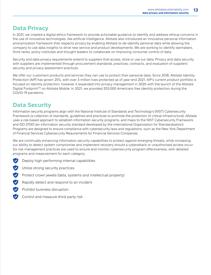## **Data Privacy**

In 2021, we created a digital ethics framework to provide actionable guidance to identify and address ethical concerns in the use of innovative technologies, like artificial intelligence. Allstate also introduced an innovative personal information anonymization framework that respects privacy by enabling Allstate to de-identify personal data while allowing the company to use data insights to drive new service and product developments. We are working to identify lawmakers, think tanks, policy institutes and thought leaders to collaborate on improving consumer control of data.

Security and data privacy requirements extend to suppliers that access, store or use our data. Privacy and data security with suppliers are implemented through procurement standards, practices, contracts, and evaluation of suppliers' security and privacy assessment practices.

We offer our customers products and services they can use to protect their personal data. Since 2018, Allstate Identity Protection (AIP) has grown 25%, with over 3 million lives protected as of year-end 2021. AIP's current product portfolio is focused on identity protection; however it expanded into privacy management in 2020 with the launch of the Allstate Digital FootprintTM on Allstate Mobile. In 2021, we provided 203,000 Americans free identity protection during the COVID-19 pandemic.

## **Data Security**

Information security programs align with the National Institute of Standards and Technology's (NIST) Cybersecurity Framework (a collection of standards, guidelines and practices to promote the protection of critical infrastructure). Allstate uses a risk-based approach to establish information security programs, and maps to the NIST Cybersecurity Framework and ISO 27001 (an information security standard developed by the International Organization for Standardization). Programs are designed to ensure compliance with cybersecurity laws and regulations, such as the New York Department of Financial Services Cybersecurity Requirements for Financial Services Companies.

We are continually enhancing information security capabilities to protect against emerging threats, while increasing our ability to detect system compromise and implement recovery should a cyberattack or unauthorized access occur. Six risk management practices are used to ensure and monitor cybersecurity program effectiveness, with detailed programs and measurement for each category.

- $\blacktriangledown$ Deploy high-performing internal capabilities
- **V** Utilize strong security practices
- Protect crown jewels (data, systems and intellectual property)
- Rapidly detect and respond to an incident
- Prohibit business disruption
- Control and measure third-party risk